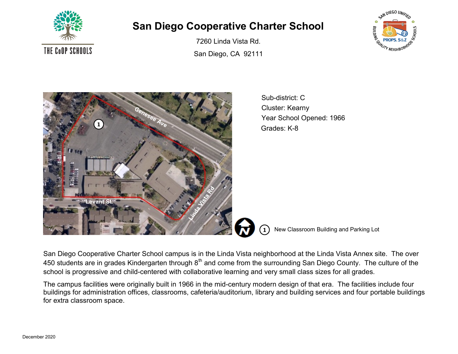

## **San Diego Cooperative Charter School**

7260 Linda Vista Rd. San Diego, CA 92111





Sub-district: C Cluster: Kearny Year School Opened: 1966 Grades: K-8

**1** New Classroom Building and Parking Lot

San Diego Cooperative Charter School campus is in the Linda Vista neighborhood at the Linda Vista Annex site. The over 450 students are in grades Kindergarten through 8<sup>th</sup> and come from the surrounding San Diego County. The culture of the school is progressive and child-centered with collaborative learning and very small class sizes for all grades.

The campus facilities were originally built in 1966 in the mid-century modern design of that era. The facilities include four buildings for administration offices, classrooms, cafeteria/auditorium, library and building services and four portable buildings for extra classroom space.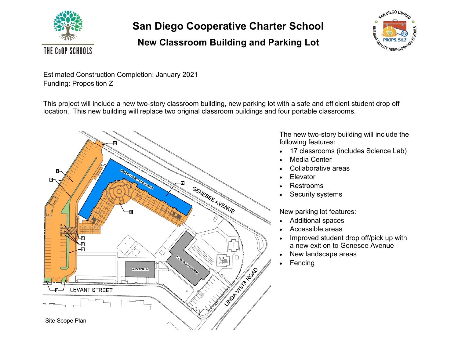

**San Diego Cooperative Charter School**

## **New Classroom Building and Parking Lot**



Estimated Construction Completion: January 2021 Funding: Proposition Z

This project will include a new two-story classroom building, new parking lot with a safe and efficient student drop off location. This new building will replace two original classroom buildings and four portable classrooms.



The new two-story building will include the following features:

- 17 classrooms (includes Science Lab)
- Media Center
- Collaborative areas
- **Elevator**
- Restrooms
- Security systems

New parking lot features:

- Additional spaces
- Accessible areas
- Improved student drop off/pick up with a new exit on to Genesee Avenue
- New landscape areas
- **Fencing**